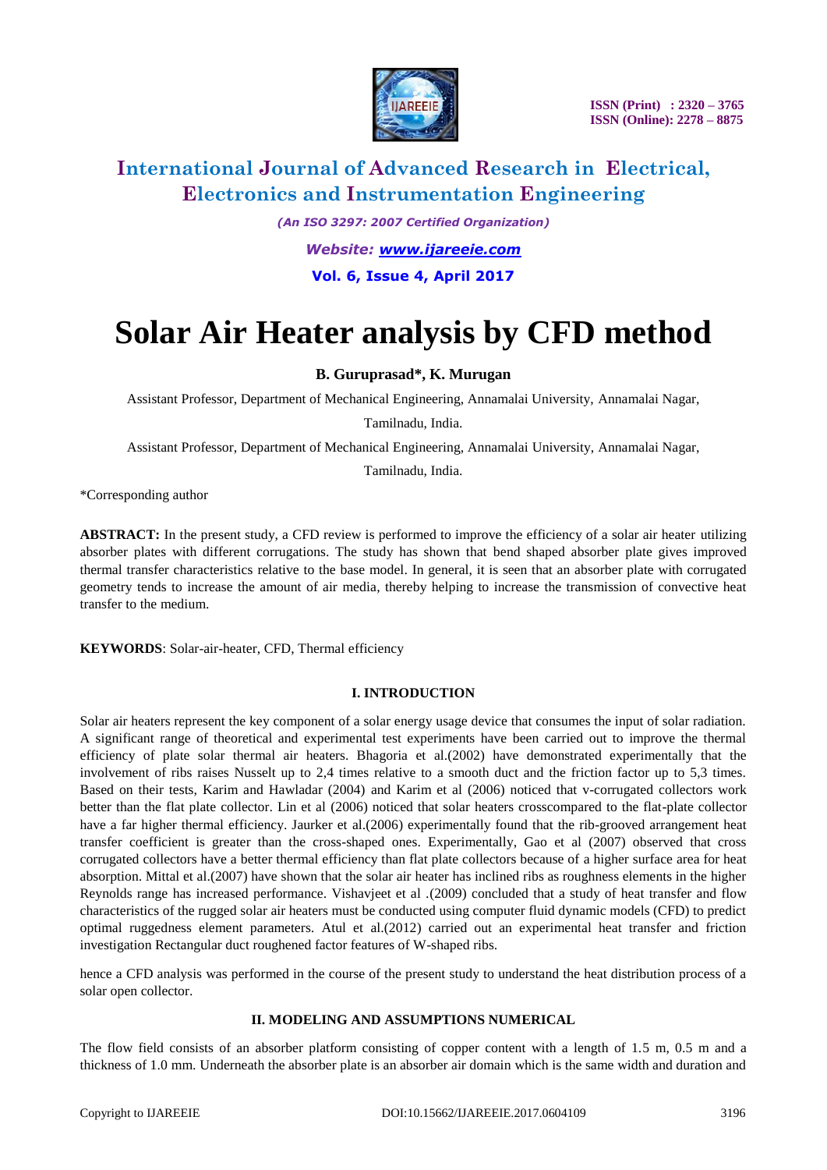

# **International Journal of Advanced Research in Electrical, Electronics and Instrumentation Engineering**

*(An ISO 3297: 2007 Certified Organization) Website: [www.ijareeie.com](http://www.ijareeie.com/)* **Vol. 6, Issue 4, April 2017**

# **Solar Air Heater analysis by CFD method**

### **B. Guruprasad\*, K. Murugan**

Assistant Professor, Department of Mechanical Engineering, Annamalai University, Annamalai Nagar,

Tamilnadu, India.

Assistant Professor, Department of Mechanical Engineering, Annamalai University, Annamalai Nagar,

Tamilnadu, India.

\*Corresponding author

ABSTRACT: In the present study, a CFD review is performed to improve the efficiency of a solar air heater utilizing absorber plates with different corrugations. The study has shown that bend shaped absorber plate gives improved thermal transfer characteristics relative to the base model. In general, it is seen that an absorber plate with corrugated geometry tends to increase the amount of air media, thereby helping to increase the transmission of convective heat transfer to the medium.

**KEYWORDS**: Solar-air-heater, CFD, Thermal efficiency

#### **I. INTRODUCTION**

Solar air heaters represent the key component of a solar energy usage device that consumes the input of solar radiation. A significant range of theoretical and experimental test experiments have been carried out to improve the thermal efficiency of plate solar thermal air heaters. Bhagoria et al.(2002) have demonstrated experimentally that the involvement of ribs raises Nusselt up to 2,4 times relative to a smooth duct and the friction factor up to 5,3 times. Based on their tests, Karim and Hawladar (2004) and Karim et al (2006) noticed that v-corrugated collectors work better than the flat plate collector. Lin et al (2006) noticed that solar heaters crosscompared to the flat-plate collector have a far higher thermal efficiency. Jaurker et al.(2006) experimentally found that the rib-grooved arrangement heat transfer coefficient is greater than the cross-shaped ones. Experimentally, Gao et al (2007) observed that cross corrugated collectors have a better thermal efficiency than flat plate collectors because of a higher surface area for heat absorption. Mittal et al.(2007) have shown that the solar air heater has inclined ribs as roughness elements in the higher Reynolds range has increased performance. Vishavjeet et al .(2009) concluded that a study of heat transfer and flow characteristics of the rugged solar air heaters must be conducted using computer fluid dynamic models (CFD) to predict optimal ruggedness element parameters. Atul et al.(2012) carried out an experimental heat transfer and friction investigation Rectangular duct roughened factor features of W-shaped ribs.

hence a CFD analysis was performed in the course of the present study to understand the heat distribution process of a solar open collector.

#### **II. MODELING AND ASSUMPTIONS NUMERICAL**

The flow field consists of an absorber platform consisting of copper content with a length of 1.5 m, 0.5 m and a thickness of 1.0 mm. Underneath the absorber plate is an absorber air domain which is the same width and duration and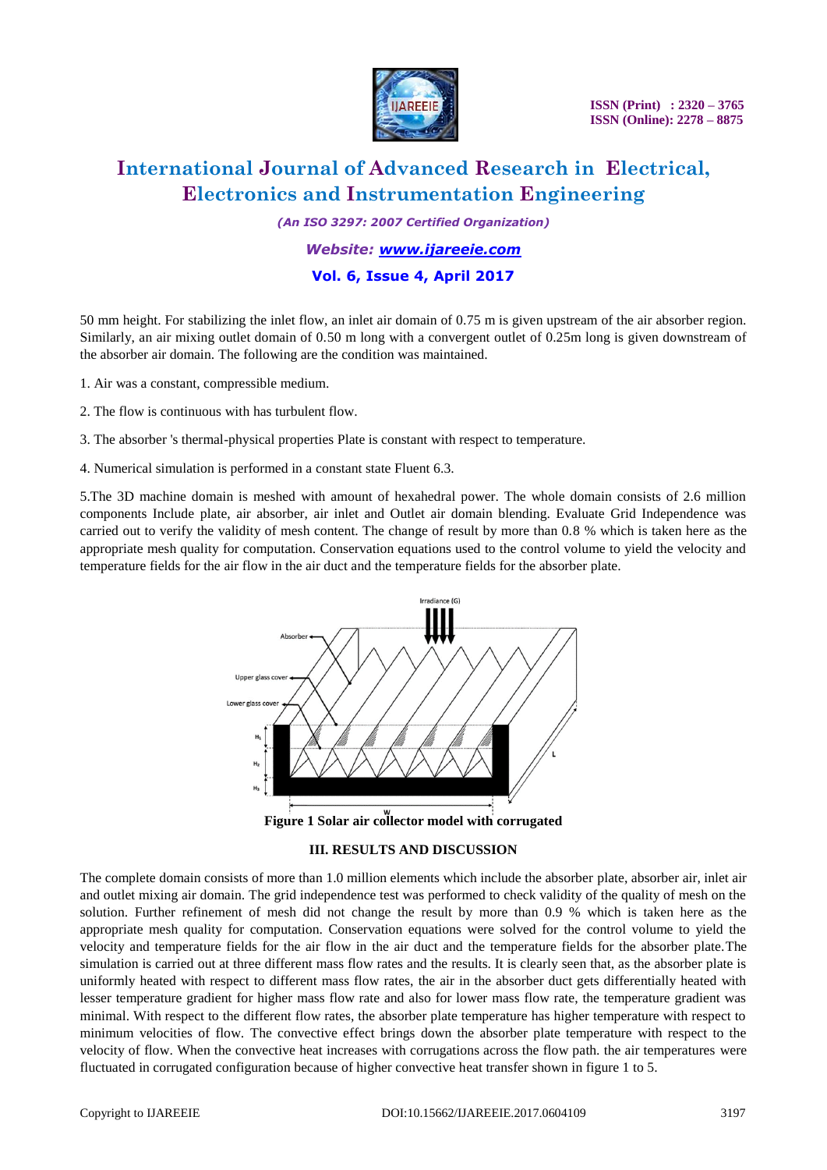

 **ISSN (Print) : 2320 – 3765 ISSN (Online): 2278 – 8875**

# **International Journal of Advanced Research in Electrical, Electronics and Instrumentation Engineering**

*(An ISO 3297: 2007 Certified Organization)*

#### *Website: [www.ijareeie.com](http://www.ijareeie.com/)*

#### **Vol. 6, Issue 4, April 2017**

50 mm height. For stabilizing the inlet flow, an inlet air domain of 0.75 m is given upstream of the air absorber region. Similarly, an air mixing outlet domain of 0.50 m long with a convergent outlet of 0.25m long is given downstream of the absorber air domain. The following are the condition was maintained.

- 1. Air was a constant, compressible medium.
- 2. The flow is continuous with has turbulent flow.

3. The absorber 's thermal-physical properties Plate is constant with respect to temperature.

4. Numerical simulation is performed in a constant state Fluent 6.3.

5.The 3D machine domain is meshed with amount of hexahedral power. The whole domain consists of 2.6 million components Include plate, air absorber, air inlet and Outlet air domain blending. Evaluate Grid Independence was carried out to verify the validity of mesh content. The change of result by more than 0.8 % which is taken here as the appropriate mesh quality for computation. Conservation equations used to the control volume to yield the velocity and temperature fields for the air flow in the air duct and the temperature fields for the absorber plate.



**Figure 1 Solar air collector model with corrugated**

#### **III. RESULTS AND DISCUSSION**

The complete domain consists of more than 1.0 million elements which include the absorber plate, absorber air, inlet air and outlet mixing air domain. The grid independence test was performed to check validity of the quality of mesh on the solution. Further refinement of mesh did not change the result by more than 0.9 % which is taken here as the appropriate mesh quality for computation. Conservation equations were solved for the control volume to yield the velocity and temperature fields for the air flow in the air duct and the temperature fields for the absorber plate.The simulation is carried out at three different mass flow rates and the results. It is clearly seen that, as the absorber plate is uniformly heated with respect to different mass flow rates, the air in the absorber duct gets differentially heated with lesser temperature gradient for higher mass flow rate and also for lower mass flow rate, the temperature gradient was minimal. With respect to the different flow rates, the absorber plate temperature has higher temperature with respect to minimum velocities of flow. The convective effect brings down the absorber plate temperature with respect to the velocity of flow. When the convective heat increases with corrugations across the flow path. the air temperatures were fluctuated in corrugated configuration because of higher convective heat transfer shown in figure 1 to 5.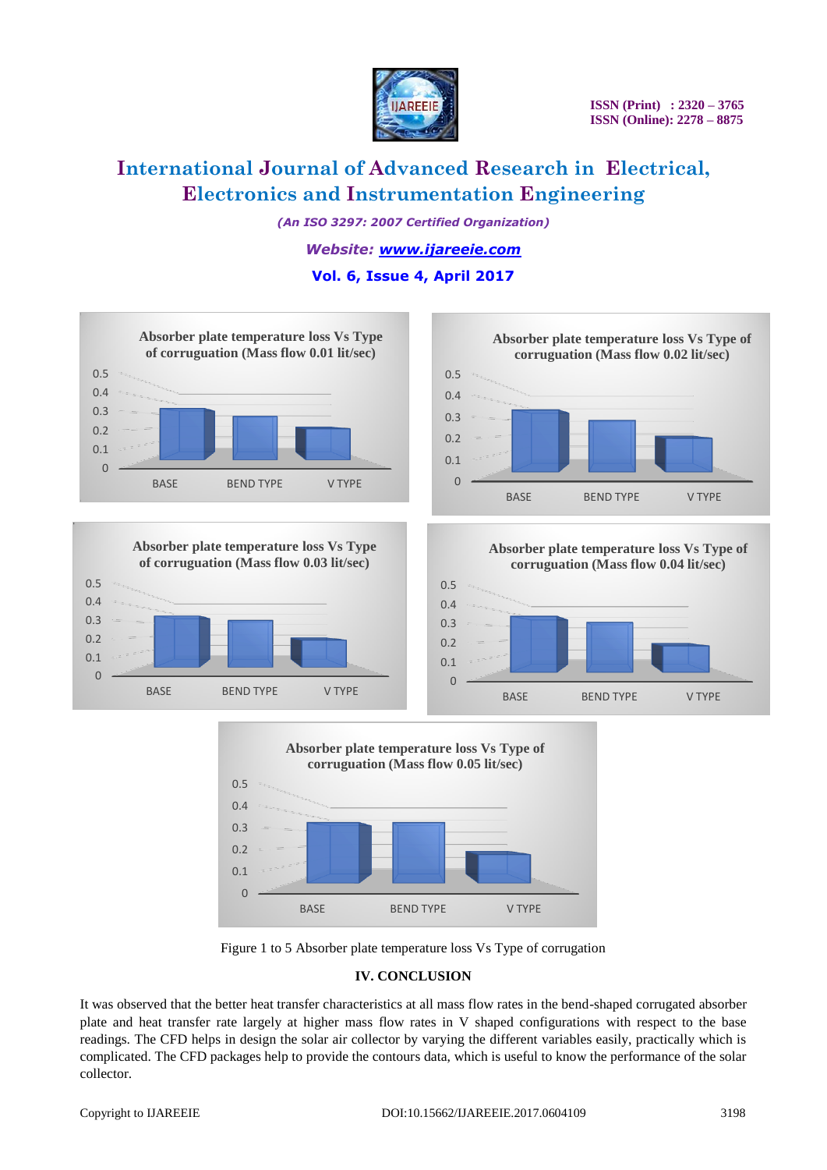

# **International Journal of Advanced Research in Electrical, Electronics and Instrumentation Engineering**

*(An ISO 3297: 2007 Certified Organization)*

*Website: [www.ijareeie.com](http://www.ijareeie.com/)*

### **Vol. 6, Issue 4, April 2017**











Figure 1 to 5 Absorber plate temperature loss Vs Type of corrugation

#### **IV. CONCLUSION**

It was observed that the better heat transfer characteristics at all mass flow rates in the bend-shaped corrugated absorber plate and heat transfer rate largely at higher mass flow rates in V shaped configurations with respect to the base readings. The CFD helps in design the solar air collector by varying the different variables easily, practically which is complicated. The CFD packages help to provide the contours data, which is useful to know the performance of the solar collector.